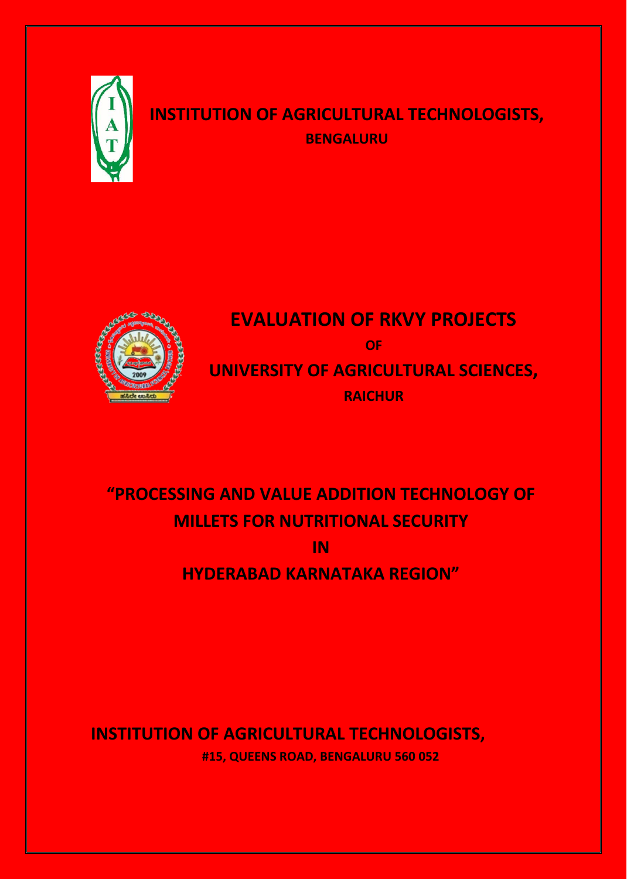

## **INSTITUTION OF AGRICULTURAL TECHNOLOGISTS, BENGALURU**



## **EVALUATION OF RKVY PROJECTS OF UNIVERSITY OF AGRICULTURAL SCIENCES, RAICHUR**

# **"PROCESSING AND VALUE ADDITION TECHNOLOGY OF MILLETS FOR NUTRITIONAL SECURITY IN**

**HYDERABAD KARNATAKA REGION"**

**INSTITUTION OF AGRICULTURAL TECHNOLOGISTS,**

**#15, QUEENS ROAD, BENGALURU 560 052**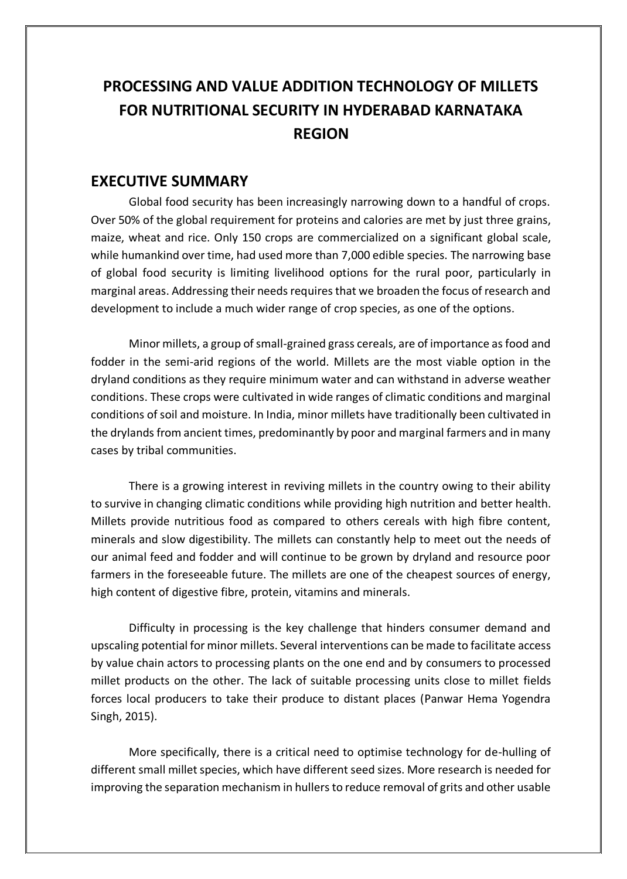#### **EXECUTIVE SUMMARY**

Global food security has been increasingly narrowing down to a handful of crops. Over 50% of the global requirement for proteins and calories are met by just three grains, maize, wheat and rice. Only 150 crops are commercialized on a significant global scale, while humankind over time, had used more than 7,000 edible species. The narrowing base of global food security is limiting livelihood options for the rural poor, particularly in marginal areas. Addressing their needs requires that we broaden the focus of research and development to include a much wider range of crop species, as one of the options.

Minor millets, a group of small-grained grass cereals, are of importance as food and fodder in the semi-arid regions of the world. Millets are the most viable option in the dryland conditions as they require minimum water and can withstand in adverse weather conditions. These crops were cultivated in wide ranges of climatic conditions and marginal conditions of soil and moisture. In India, minor millets have traditionally been cultivated in the drylands from ancient times, predominantly by poor and marginal farmers and in many cases by tribal communities.

There is a growing interest in reviving millets in the country owing to their ability to survive in changing climatic conditions while providing high nutrition and better health. Millets provide nutritious food as compared to others cereals with high fibre content, minerals and slow digestibility. The millets can constantly help to meet out the needs of our animal feed and fodder and will continue to be grown by dryland and resource poor farmers in the foreseeable future. The millets are one of the cheapest sources of energy, high content of digestive fibre, protein, vitamins and minerals.

Difficulty in processing is the key challenge that hinders consumer demand and upscaling potential for minor millets. Several interventions can be made to facilitate access by value chain actors to processing plants on the one end and by consumers to processed millet products on the other. The lack of suitable processing units close to millet fields forces local producers to take their produce to distant places (Panwar Hema Yogendra Singh, 2015).

More specifically, there is a critical need to optimise technology for de-hulling of different small millet species, which have different seed sizes. More research is needed for improving the separation mechanism in hullers to reduce removal of grits and other usable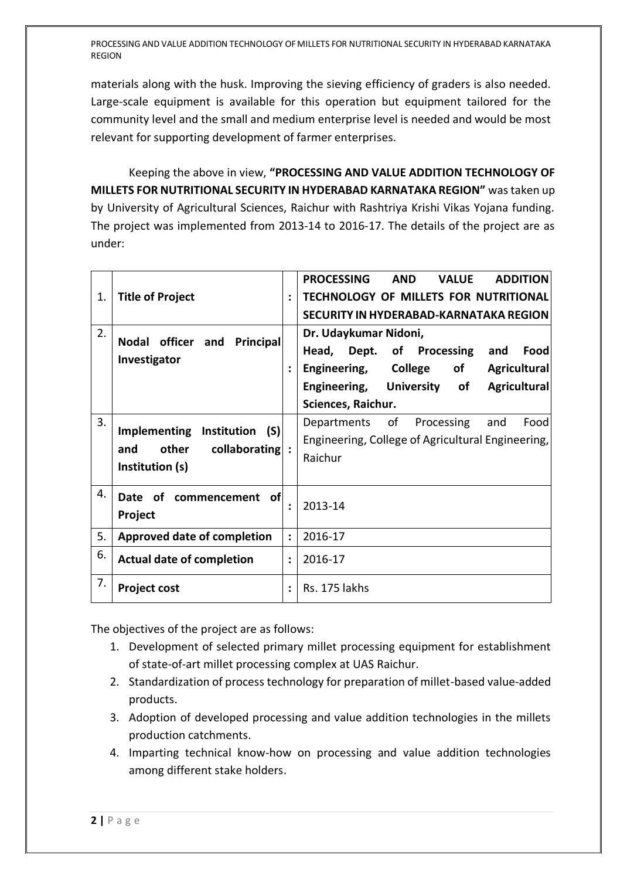materials along with the husk. Improving the sieving efficiency of graders is also needed. Large-scale equipment is available for this operation but equipment tailored for the community level and the small and medium enterprise level is needed and would be most relevant for supporting development of farmer enterprises.

Keeping the above in view, **"PROCESSING AND VALUE ADDITION TECHNOLOGY OF MILLETS FOR NUTRITIONAL SECURITY IN HYDERABAD KARNATAKA REGION"** was taken up by University of Agricultural Sciences, Raichur with Rashtriya Krishi Vikas Yojana funding. The project was implemented from 2013-14 to 2016-17. The details of the project are as under:

| 1. | <b>Title of Project</b>                                                                        | $\ddot{\cdot}$       | <b>PROCESSING</b><br><b>ADDITION</b><br><b>AND</b><br><b>VALUE</b><br>TECHNOLOGY OF MILLETS FOR NUTRITIONAL<br>SECURITY IN HYDERABAD-KARNATAKA REGION                                               |
|----|------------------------------------------------------------------------------------------------|----------------------|-----------------------------------------------------------------------------------------------------------------------------------------------------------------------------------------------------|
| 2. | Nodal officer and<br><b>Principal</b><br>Investigator                                          | $\ddot{\cdot}$       | Dr. Udaykumar Nidoni,<br>Head,<br>Dept. of Processing<br>Food<br>and<br>College<br>of<br>Engineering,<br>Agricultural<br><b>Engineering, University</b><br>Agricultural<br>of<br>Sciences, Raichur. |
| 3. | Institution (S)<br><b>Implementing</b><br>$collaborating$ :<br>other<br>and<br>Institution (s) |                      | Departments of Processing<br>and<br>Foodl<br>Engineering, College of Agricultural Engineering,<br>Raichur                                                                                           |
| 4. | Date of commencement<br>0f<br>Project                                                          | $\ddot{\phantom{a}}$ | 2013-14                                                                                                                                                                                             |
| 5. | <b>Approved date of completion</b>                                                             | $\ddot{\cdot}$       | 2016-17                                                                                                                                                                                             |
| 6. | <b>Actual date of completion</b>                                                               | $\ddot{\phantom{a}}$ | 2016-17                                                                                                                                                                                             |
| 7. | <b>Project cost</b>                                                                            | $\ddot{\phantom{a}}$ | Rs. 175 lakhs                                                                                                                                                                                       |

The objectives of the project are as follows:

- 1. Development of selected primary millet processing equipment for establishment of state-of-art millet processing complex at UAS Raichur.
- 2. Standardization of process technology for preparation of millet-based value-added products.
- 3. Adoption of developed processing and value addition technologies in the millets production catchments.
- 4. Imparting technical know-how on processing and value addition technologies among different stake holders.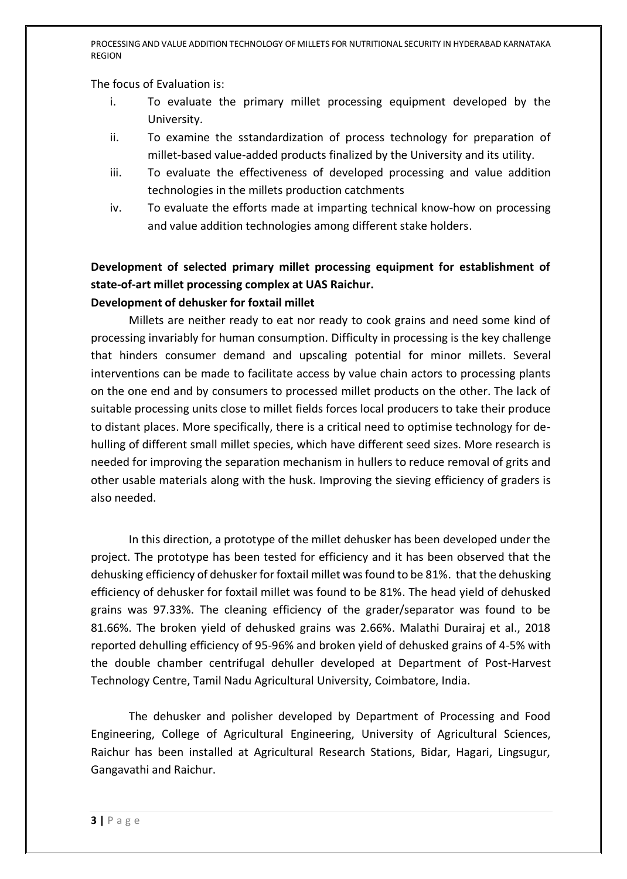The focus of Evaluation is:

- i. To evaluate the primary millet processing equipment developed by the University.
- ii. To examine the sstandardization of process technology for preparation of millet-based value-added products finalized by the University and its utility.
- iii. To evaluate the effectiveness of developed processing and value addition technologies in the millets production catchments
- iv. To evaluate the efforts made at imparting technical know-how on processing and value addition technologies among different stake holders.

### **Development of selected primary millet processing equipment for establishment of state-of-art millet processing complex at UAS Raichur.**

#### **Development of dehusker for foxtail millet**

Millets are neither ready to eat nor ready to cook grains and need some kind of processing invariably for human consumption. Difficulty in processing is the key challenge that hinders consumer demand and upscaling potential for minor millets. Several interventions can be made to facilitate access by value chain actors to processing plants on the one end and by consumers to processed millet products on the other. The lack of suitable processing units close to millet fields forces local producers to take their produce to distant places. More specifically, there is a critical need to optimise technology for dehulling of different small millet species, which have different seed sizes. More research is needed for improving the separation mechanism in hullers to reduce removal of grits and other usable materials along with the husk. Improving the sieving efficiency of graders is also needed.

In this direction, a prototype of the millet dehusker has been developed under the project. The prototype has been tested for efficiency and it has been observed that the dehusking efficiency of dehusker for foxtail millet was found to be 81%. that the dehusking efficiency of dehusker for foxtail millet was found to be 81%. The head yield of dehusked grains was 97.33%. The cleaning efficiency of the grader/separator was found to be 81.66%. The broken yield of dehusked grains was 2.66%. Malathi Durairaj et al., 2018 reported dehulling efficiency of 95-96% and broken yield of dehusked grains of 4-5% with the double chamber centrifugal dehuller developed at Department of Post-Harvest Technology Centre, Tamil Nadu Agricultural University, Coimbatore, India.

The dehusker and polisher developed by Department of Processing and Food Engineering, College of Agricultural Engineering, University of Agricultural Sciences, Raichur has been installed at Agricultural Research Stations, Bidar, Hagari, Lingsugur, Gangavathi and Raichur.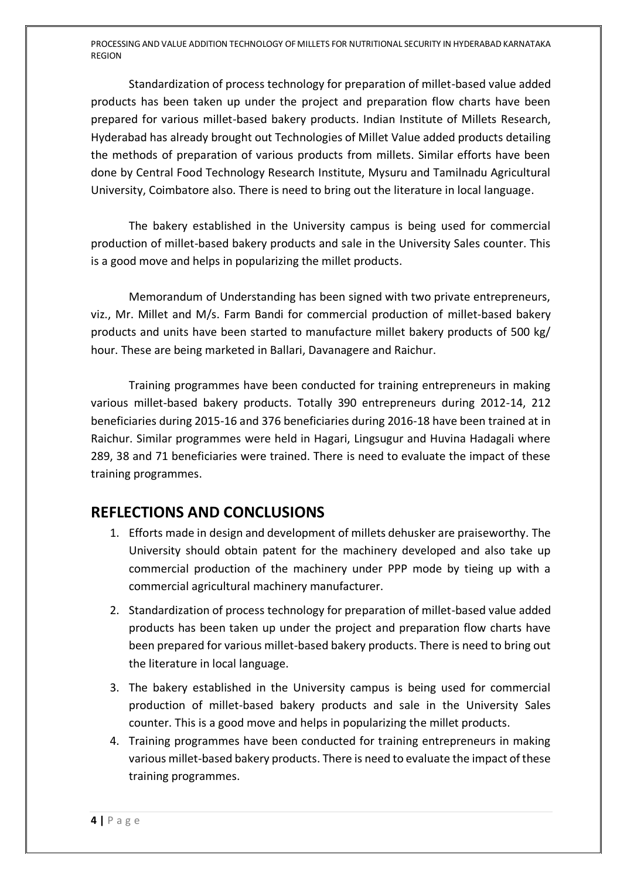Standardization of process technology for preparation of millet-based value added products has been taken up under the project and preparation flow charts have been prepared for various millet-based bakery products. Indian Institute of Millets Research, Hyderabad has already brought out Technologies of Millet Value added products detailing the methods of preparation of various products from millets. Similar efforts have been done by Central Food Technology Research Institute, Mysuru and Tamilnadu Agricultural University, Coimbatore also. There is need to bring out the literature in local language.

The bakery established in the University campus is being used for commercial production of millet-based bakery products and sale in the University Sales counter. This is a good move and helps in popularizing the millet products.

Memorandum of Understanding has been signed with two private entrepreneurs, viz., Mr. Millet and M/s. Farm Bandi for commercial production of millet-based bakery products and units have been started to manufacture millet bakery products of 500 kg/ hour. These are being marketed in Ballari, Davanagere and Raichur.

Training programmes have been conducted for training entrepreneurs in making various millet-based bakery products. Totally 390 entrepreneurs during 2012-14, 212 beneficiaries during 2015-16 and 376 beneficiaries during 2016-18 have been trained at in Raichur. Similar programmes were held in Hagari, Lingsugur and Huvina Hadagali where 289, 38 and 71 beneficiaries were trained. There is need to evaluate the impact of these training programmes.

#### **REFLECTIONS AND CONCLUSIONS**

- 1. Efforts made in design and development of millets dehusker are praiseworthy. The University should obtain patent for the machinery developed and also take up commercial production of the machinery under PPP mode by tieing up with a commercial agricultural machinery manufacturer.
- 2. Standardization of process technology for preparation of millet-based value added products has been taken up under the project and preparation flow charts have been prepared for various millet-based bakery products. There is need to bring out the literature in local language.
- 3. The bakery established in the University campus is being used for commercial production of millet-based bakery products and sale in the University Sales counter. This is a good move and helps in popularizing the millet products.
- 4. Training programmes have been conducted for training entrepreneurs in making various millet-based bakery products. There is need to evaluate the impact of these training programmes.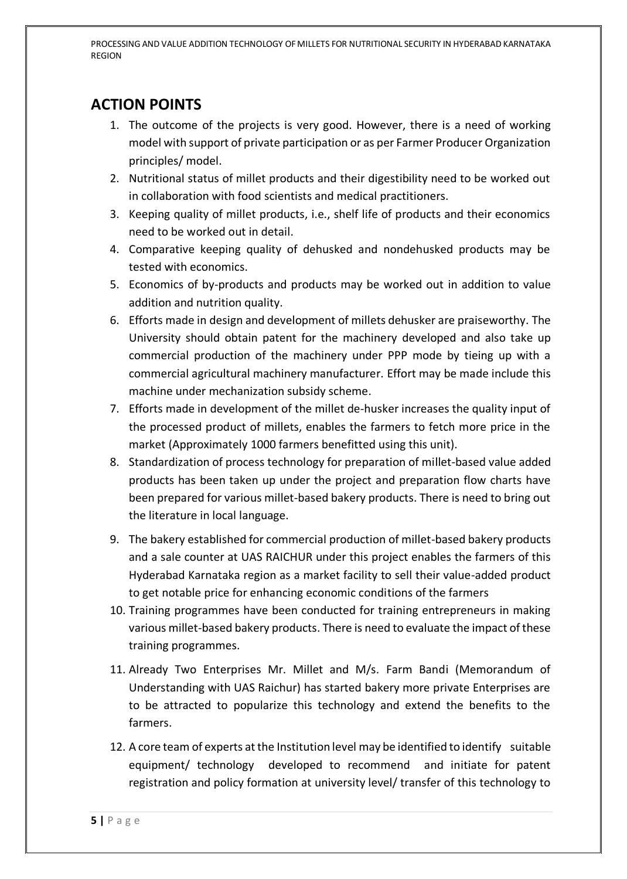#### **ACTION POINTS**

- 1. The outcome of the projects is very good. However, there is a need of working model with support of private participation or as per Farmer Producer Organization principles/ model.
- 2. Nutritional status of millet products and their digestibility need to be worked out in collaboration with food scientists and medical practitioners.
- 3. Keeping quality of millet products, i.e., shelf life of products and their economics need to be worked out in detail.
- 4. Comparative keeping quality of dehusked and nondehusked products may be tested with economics.
- 5. Economics of by-products and products may be worked out in addition to value addition and nutrition quality.
- 6. Efforts made in design and development of millets dehusker are praiseworthy. The University should obtain patent for the machinery developed and also take up commercial production of the machinery under PPP mode by tieing up with a commercial agricultural machinery manufacturer. Effort may be made include this machine under mechanization subsidy scheme.
- 7. Efforts made in development of the millet de-husker increases the quality input of the processed product of millets, enables the farmers to fetch more price in the market (Approximately 1000 farmers benefitted using this unit).
- 8. Standardization of process technology for preparation of millet-based value added products has been taken up under the project and preparation flow charts have been prepared for various millet-based bakery products. There is need to bring out the literature in local language.
- 9. The bakery established for commercial production of millet-based bakery products and a sale counter at UAS RAICHUR under this project enables the farmers of this Hyderabad Karnataka region as a market facility to sell their value-added product to get notable price for enhancing economic conditions of the farmers
- 10. Training programmes have been conducted for training entrepreneurs in making various millet-based bakery products. There is need to evaluate the impact of these training programmes.
- 11. Already Two Enterprises Mr. Millet and M/s. Farm Bandi (Memorandum of Understanding with UAS Raichur) has started bakery more private Enterprises are to be attracted to popularize this technology and extend the benefits to the farmers.
- 12. A core team of experts at the Institution level may be identified to identify suitable equipment/ technology developed to recommend and initiate for patent registration and policy formation at university level/ transfer of this technology to